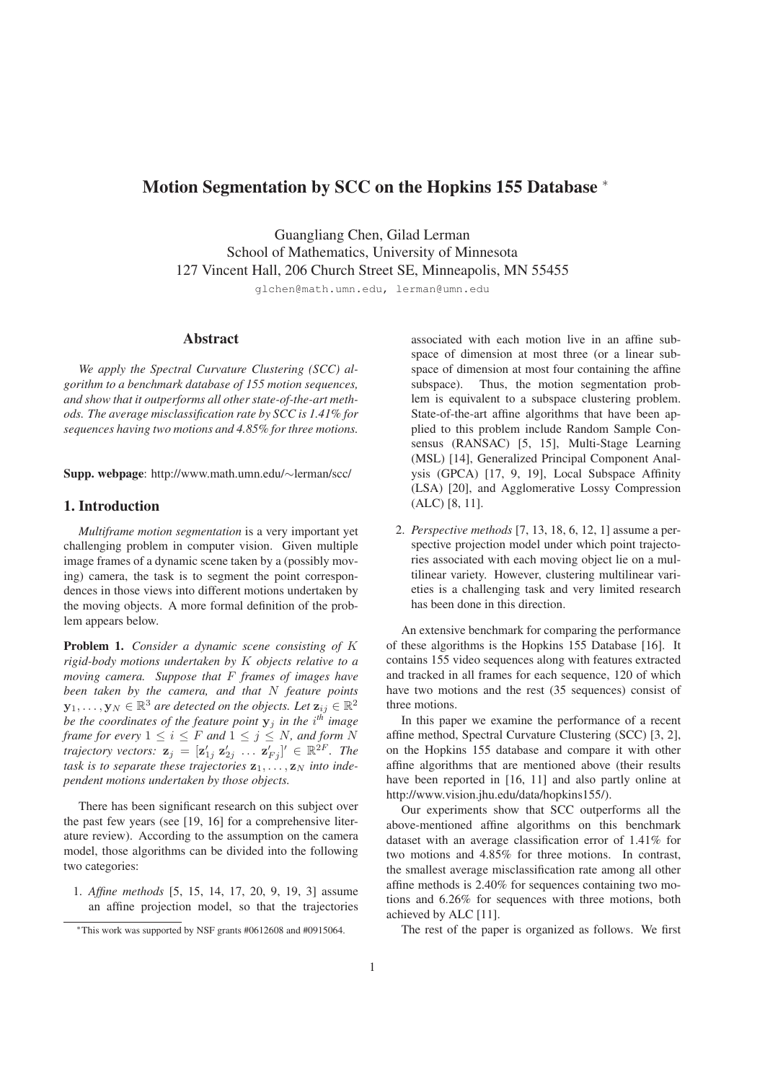# Motion Segmentation by SCC on the Hopkins 155 Database <sup>∗</sup>

Guangliang Chen, Gilad Lerman School of Mathematics, University of Minnesota 127 Vincent Hall, 206 Church Street SE, Minneapolis, MN 55455

glchen@math.umn.edu, lerman@umn.edu

### Abstract

*We apply the Spectral Curvature Clustering (SCC) algorithm to a benchmark database of 155 motion sequences, and show that it outperforms all other state-of-the-art methods. The average misclassification rate by SCC is 1.41% for sequences having two motions and 4.85% for three motions.*

Supp. webpage: http://www.math.umn.edu/∼lerman/scc/

### 1. Introduction

*Multiframe motion segmentation* is a very important yet challenging problem in computer vision. Given multiple image frames of a dynamic scene taken by a (possibly moving) camera, the task is to segment the point correspondences in those views into different motions undertaken by the moving objects. A more formal definition of the problem appears below.

Problem 1. *Consider a dynamic scene consisting of* K *rigid-body motions undertaken by* K *objects relative to a moving camera. Suppose that* F *frames of images have been taken by the camera, and that* N *feature points*  $\mathbf{y}_1,\ldots,\mathbf{y}_N\in\mathbb{R}^3$  are detected on the objects. Let  $\mathbf{z}_{ij}\in\mathbb{R}^2$ *be the coordinates of the feature point* y<sup>j</sup> *in the* i *th image frame for every*  $1 \leq i \leq F$  *and*  $1 \leq j \leq N$ *, and form* N *trajectory vectors:*  $\mathbf{z}_j = [\mathbf{z}_{1j}^\prime \; \mathbf{z}_{2j}^\prime \; \ldots \; \mathbf{z}_{Fj}^\prime]^\prime \in \mathbb{R}^{2F}$ *. The* task is to separate these trajectories  $z_1, \ldots, z_N$  into inde*pendent motions undertaken by those objects.*

There has been significant research on this subject over the past few years (see [19, 16] for a comprehensive literature review). According to the assumption on the camera model, those algorithms can be divided into the following two categories:

1. *Affine methods* [5, 15, 14, 17, 20, 9, 19, 3] assume an affine projection model, so that the trajectories associated with each motion live in an affine subspace of dimension at most three (or a linear subspace of dimension at most four containing the affine subspace). Thus, the motion segmentation problem is equivalent to a subspace clustering problem. State-of-the-art affine algorithms that have been applied to this problem include Random Sample Consensus (RANSAC) [5, 15], Multi-Stage Learning (MSL) [14], Generalized Principal Component Analysis (GPCA) [17, 9, 19], Local Subspace Affinity (LSA) [20], and Agglomerative Lossy Compression (ALC) [8, 11].

2. *Perspective methods* [7, 13, 18, 6, 12, 1] assume a perspective projection model under which point trajectories associated with each moving object lie on a multilinear variety. However, clustering multilinear varieties is a challenging task and very limited research has been done in this direction.

An extensive benchmark for comparing the performance of these algorithms is the Hopkins 155 Database [16]. It contains 155 video sequences along with features extracted and tracked in all frames for each sequence, 120 of which have two motions and the rest (35 sequences) consist of three motions.

In this paper we examine the performance of a recent affine method, Spectral Curvature Clustering (SCC) [3, 2], on the Hopkins 155 database and compare it with other affine algorithms that are mentioned above (their results have been reported in [16, 11] and also partly online at http://www.vision.jhu.edu/data/hopkins155/).

Our experiments show that SCC outperforms all the above-mentioned affine algorithms on this benchmark dataset with an average classification error of 1.41% for two motions and 4.85% for three motions. In contrast, the smallest average misclassification rate among all other affine methods is 2.40% for sequences containing two motions and 6.26% for sequences with three motions, both achieved by ALC [11].

The rest of the paper is organized as follows. We first

<sup>∗</sup>This work was supported by NSF grants #0612608 and #0915064.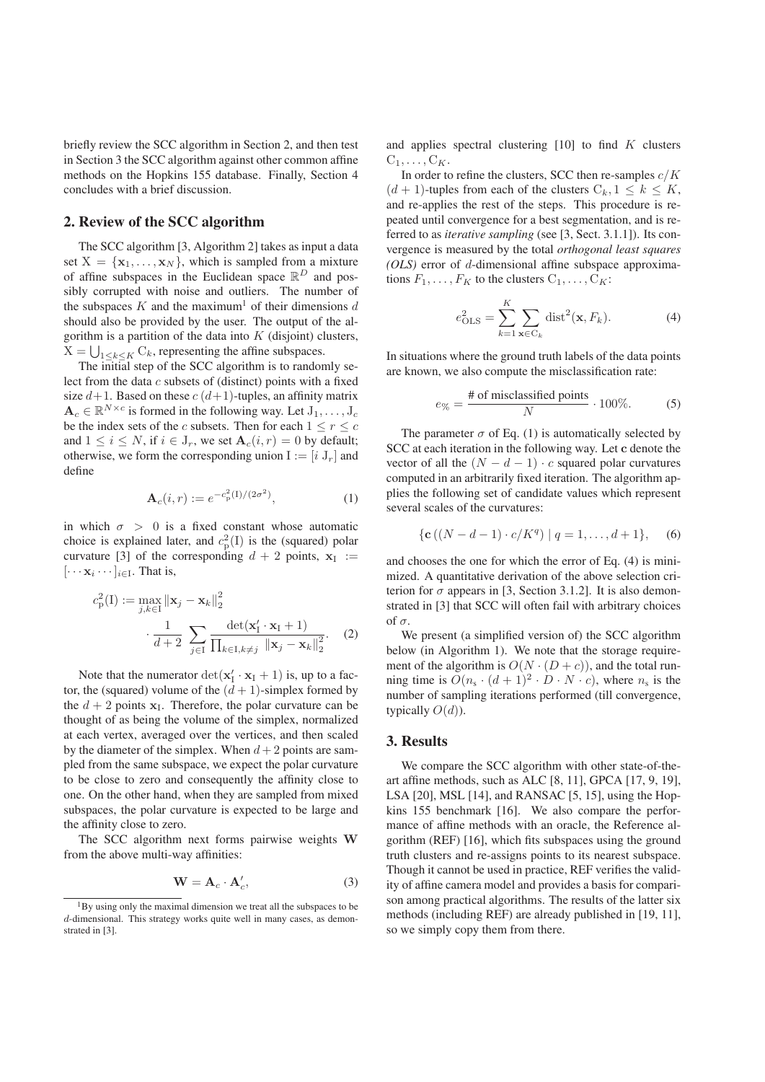briefly review the SCC algorithm in Section 2, and then test in Section 3 the SCC algorithm against other common affine methods on the Hopkins 155 database. Finally, Section 4 concludes with a brief discussion.

# 2. Review of the SCC algorithm

The SCC algorithm [3, Algorithm 2] takes as input a data set  $X = \{x_1, \ldots, x_N\}$ , which is sampled from a mixture of affine subspaces in the Euclidean space  $\mathbb{R}^D$  and possibly corrupted with noise and outliers. The number of the subspaces K and the maximum<sup>1</sup> of their dimensions d should also be provided by the user. The output of the algorithm is a partition of the data into  $K$  (disjoint) clusters,  $X = \bigcup_{1 \leq k \leq K} C_k$ , representing the affine subspaces.

The initial step of the SCC algorithm is to randomly select from the data c subsets of (distinct) points with a fixed size  $d+1$ . Based on these  $c(d+1)$ -tuples, an affinity matrix  $\mathbf{A}_c \in \mathbb{R}^{N \times c}$  is formed in the following way. Let  $J_1, \ldots, J_c$ be the index sets of the c subsets. Then for each  $1 \le r \le c$ and  $1 \le i \le N$ , if  $i \in J_r$ , we set  $\mathbf{A}_c(i, r) = 0$  by default; otherwise, we form the corresponding union  $I := [i J_r]$  and define

$$
\mathbf{A}_c(i,r) := e^{-c_p^2(1)/(2\sigma^2)},\tag{1}
$$

in which  $\sigma > 0$  is a fixed constant whose automatic choice is explained later, and  $c_p^2(1)$  is the (squared) polar curvature [3] of the corresponding  $d + 2$  points,  $x_I :=$  $[\cdots x_i \cdots]_{i \in I}$ . That is,

$$
c_{\mathcal{P}}^{2}(\mathbf{I}) := \max_{j,k \in \mathbf{I}} \|\mathbf{x}_{j} - \mathbf{x}_{k}\|_{2}^{2}
$$

$$
\cdot \frac{1}{d+2} \sum_{j \in \mathbf{I}} \frac{\det(\mathbf{x}_{\mathbf{I}}' \cdot \mathbf{x}_{\mathbf{I}} + 1)}{\prod_{k \in \mathbf{I}, k \neq j} \|\mathbf{x}_{j} - \mathbf{x}_{k}\|_{2}^{2}}.
$$
 (2)

Note that the numerator  $\det(\mathbf{x}_I' \cdot \mathbf{x}_I + 1)$  is, up to a factor, the (squared) volume of the  $(d + 1)$ -simplex formed by the  $d + 2$  points  $x_I$ . Therefore, the polar curvature can be thought of as being the volume of the simplex, normalized at each vertex, averaged over the vertices, and then scaled by the diameter of the simplex. When  $d + 2$  points are sampled from the same subspace, we expect the polar curvature to be close to zero and consequently the affinity close to one. On the other hand, when they are sampled from mixed subspaces, the polar curvature is expected to be large and the affinity close to zero.

The SCC algorithm next forms pairwise weights W from the above multi-way affinities:

$$
\mathbf{W} = \mathbf{A}_c \cdot \mathbf{A}'_c,\tag{3}
$$

and applies spectral clustering  $[10]$  to find K clusters  $C_1, \ldots, C_K$ .

In order to refine the clusters, SCC then re-samples  $c/K$  $(d + 1)$ -tuples from each of the clusters  $C_k$ ,  $1 \leq k \leq K$ , and re-applies the rest of the steps. This procedure is repeated until convergence for a best segmentation, and is referred to as *iterative sampling* (see [3, Sect. 3.1.1]). Its convergence is measured by the total *orthogonal least squares (OLS)* error of d-dimensional affine subspace approximations  $F_1, \ldots, F_K$  to the clusters  $C_1, \ldots, C_K$ :

$$
e_{\text{OLS}}^2 = \sum_{k=1}^K \sum_{\mathbf{x} \in \mathcal{C}_k} \text{dist}^2(\mathbf{x}, F_k). \tag{4}
$$

In situations where the ground truth labels of the data points are known, we also compute the misclassification rate:

$$
e_{\%} = \frac{\text{\# of misclassified points}}{N} \cdot 100\%.
$$
 (5)

The parameter  $\sigma$  of Eq. (1) is automatically selected by SCC at each iteration in the following way. Let c denote the vector of all the  $(N - d - 1) \cdot c$  squared polar curvatures computed in an arbitrarily fixed iteration. The algorithm applies the following set of candidate values which represent several scales of the curvatures:

$$
\{ \mathbf{c} \left( (N - d - 1) \cdot c / K^{q} \right) \mid q = 1, \dots, d + 1 \}, \quad (6)
$$

and chooses the one for which the error of Eq. (4) is minimized. A quantitative derivation of the above selection criterion for  $\sigma$  appears in [3, Section 3.1.2]. It is also demonstrated in [3] that SCC will often fail with arbitrary choices of σ.

We present (a simplified version of) the SCC algorithm below (in Algorithm 1). We note that the storage requirement of the algorithm is  $O(N \cdot (D + c))$ , and the total running time is  $O(n_s \cdot (d+1)^2 \cdot D \cdot N \cdot c)$ , where  $n_s$  is the number of sampling iterations performed (till convergence, typically  $O(d)$ ).

# 3. Results

We compare the SCC algorithm with other state-of-theart affine methods, such as ALC [8, 11], GPCA [17, 9, 19], LSA [20], MSL [14], and RANSAC [5, 15], using the Hopkins 155 benchmark [16]. We also compare the performance of affine methods with an oracle, the Reference algorithm (REF) [16], which fits subspaces using the ground truth clusters and re-assigns points to its nearest subspace. Though it cannot be used in practice, REF verifies the validity of affine camera model and provides a basis for comparison among practical algorithms. The results of the latter six methods (including REF) are already published in [19, 11], so we simply copy them from there.

<sup>&</sup>lt;sup>1</sup>By using only the maximal dimension we treat all the subspaces to be d-dimensional. This strategy works quite well in many cases, as demonstrated in [3].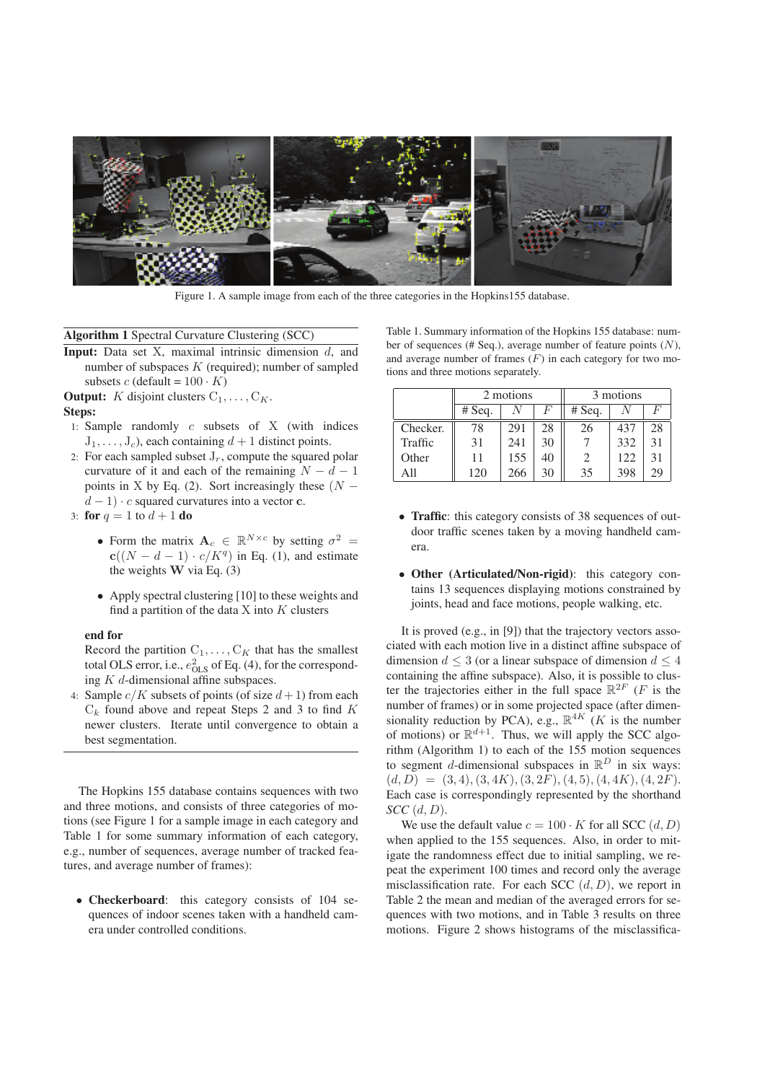

Figure 1. A sample image from each of the three categories in the Hopkins155 database.

### Algorithm 1 Spectral Curvature Clustering (SCC)

- **Input:** Data set X, maximal intrinsic dimension  $d$ , and number of subspaces  $K$  (required); number of sampled subsets c (default =  $100 \cdot K$ )
- **Output:** K disjoint clusters  $C_1, \ldots, C_K$ . Steps:
- 1: Sample randomly c subsets of X (with indices
- $J_1, \ldots, J_c$ , each containing  $d+1$  distinct points.
- 2: For each sampled subset  $J_r$ , compute the squared polar curvature of it and each of the remaining  $N - d - 1$ points in X by Eq. (2). Sort increasingly these  $(N$  $d-1$ ) · c squared curvatures into a vector c.
- 3: for  $q = 1$  to  $d + 1$  do
	- Form the matrix  $A_c \in \mathbb{R}^{N \times c}$  by setting  $\sigma^2 =$  $c((N - d - 1) \cdot c/K<sup>q</sup>)$  in Eq. (1), and estimate the weights  $W$  via Eq. (3)
	- Apply spectral clustering [10] to these weights and find a partition of the data  $X$  into  $K$  clusters

#### end for

Record the partition  $C_1, \ldots, C_K$  that has the smallest total OLS error, i.e.,  $e_{\text{OLS}}^2$  of Eq. (4), for the corresponding K d-dimensional affine subspaces.

4: Sample  $c/K$  subsets of points (of size  $d+1$ ) from each  $C_k$  found above and repeat Steps 2 and 3 to find K newer clusters. Iterate until convergence to obtain a best segmentation.

The Hopkins 155 database contains sequences with two and three motions, and consists of three categories of motions (see Figure 1 for a sample image in each category and Table 1 for some summary information of each category, e.g., number of sequences, average number of tracked features, and average number of frames):

• Checkerboard: this category consists of 104 sequences of indoor scenes taken with a handheld camera under controlled conditions.

Table 1. Summary information of the Hopkins 155 database: number of sequences (# Seq.), average number of feature points (N), and average number of frames  $(F)$  in each category for two motions and three motions separately.

|          | 2 motions |     |    | 3 motions                   |     |       |  |
|----------|-----------|-----|----|-----------------------------|-----|-------|--|
|          | #Seq.     |     | F  | #Seq.                       |     | $\mu$ |  |
| Checker. | 78        | 291 | 28 | 26                          | 437 | 28    |  |
| Traffic  | 31        | 241 | 30 |                             | 332 | 31    |  |
| Other    | 11        | 155 | 40 | $\mathcal{D}_{\mathcal{L}}$ | 122 | 31    |  |
| A11      | 120       | 266 | 30 | 35                          | 398 | 29    |  |

- Traffic: this category consists of 38 sequences of outdoor traffic scenes taken by a moving handheld camera.
- Other (Articulated/Non-rigid): this category contains 13 sequences displaying motions constrained by joints, head and face motions, people walking, etc.

It is proved (e.g., in [9]) that the trajectory vectors associated with each motion live in a distinct affine subspace of dimension  $d \leq 3$  (or a linear subspace of dimension  $d \leq 4$ containing the affine subspace). Also, it is possible to cluster the trajectories either in the full space  $\mathbb{R}^{2F}$  (*F* is the number of frames) or in some projected space (after dimensionality reduction by PCA), e.g.,  $\mathbb{R}^{4K}$  (*K* is the number of motions) or  $\mathbb{R}^{d+1}$ . Thus, we will apply the SCC algorithm (Algorithm 1) to each of the 155 motion sequences to segment *d*-dimensional subspaces in  $\mathbb{R}^D$  in six ways:  $(d, D) = (3, 4), (3, 4K), (3, 2F), (4, 5), (4, 4K), (4, 2F).$ Each case is correspondingly represented by the shorthand *SCC* (d, D).

We use the default value  $c = 100 \cdot K$  for all SCC  $(d, D)$ when applied to the 155 sequences. Also, in order to mitigate the randomness effect due to initial sampling, we repeat the experiment 100 times and record only the average misclassification rate. For each SCC  $(d, D)$ , we report in Table 2 the mean and median of the averaged errors for sequences with two motions, and in Table 3 results on three motions. Figure 2 shows histograms of the misclassifica-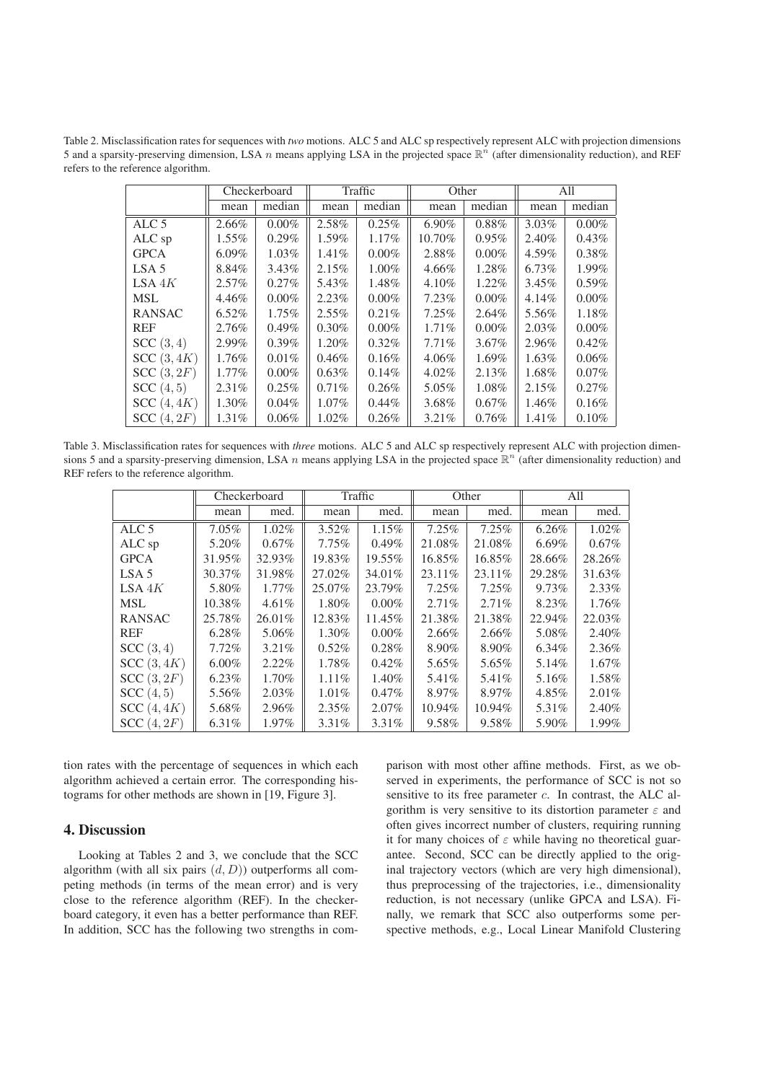Table 2. Misclassification rates for sequences with *two* motions. ALC 5 and ALC sp respectively represent ALC with projection dimensions 5 and a sparsity-preserving dimension, LSA n means applying LSA in the projected space  $\mathbb{R}^n$  (after dimensionality reduction), and REF refers to the reference algorithm.

|                  | Checkerboard |          | Traffic  |          | Other    |          | All   |          |
|------------------|--------------|----------|----------|----------|----------|----------|-------|----------|
|                  | mean         | median   | mean     | median   | mean     | median   | mean  | median   |
| ALC <sub>5</sub> | 2.66%        | $0.00\%$ | 2.58%    | 0.25%    | $6.90\%$ | 0.88%    | 3.03% | $0.00\%$ |
| ALC sp           | $1.55\%$     | $0.29\%$ | 1.59%    | $1.17\%$ | 10.70%   | $0.95\%$ | 2.40% | $0.43\%$ |
| <b>GPCA</b>      | $6.09\%$     | $1.03\%$ | $1.41\%$ | $0.00\%$ | 2.88%    | $0.00\%$ | 4.59% | 0.38%    |
| LSA <sub>5</sub> | 8.84%        | 3.43%    | 2.15%    | $1.00\%$ | $4.66\%$ | 1.28%    | 6.73% | 1.99%    |
| LSA 4K           | $2.57\%$     | $0.27\%$ | 5.43%    | 1.48%    | $4.10\%$ | $1.22\%$ | 3.45% | $0.59\%$ |
| <b>MSL</b>       | $4.46\%$     | $0.00\%$ | 2.23%    | $0.00\%$ | $7.23\%$ | $0.00\%$ | 4.14% | $0.00\%$ |
| <b>RANSAC</b>    | 6.52%        | $1.75\%$ | $2.55\%$ | 0.21%    | $7.25\%$ | $2.64\%$ | 5.56% | 1.18%    |
| <b>REF</b>       | 2.76%        | $0.49\%$ | $0.30\%$ | $0.00\%$ | 1.71%    | $0.00\%$ | 2.03% | $0.00\%$ |
| SCC(3, 4)        | 2.99%        | $0.39\%$ | 1.20%    | $0.32\%$ | $7.71\%$ | $3.67\%$ | 2.96% | 0.42%    |
| SCC(3, 4K)       | 1.76%        | 0.01%    | 0.46%    | 0.16%    | $4.06\%$ | 1.69%    | 1.63% | 0.06%    |
| SCC(3, 2F)       | $1.77\%$     | $0.00\%$ | $0.63\%$ | 0.14%    | $4.02\%$ | 2.13%    | 1.68% | $0.07\%$ |
| SCC(4, 5)        | 2.31%        | $0.25\%$ | 0.71%    | 0.26%    | 5.05%    | 1.08%    | 2.15% | 0.27%    |
| SCC(4, 4K)       | 1.30%        | 0.04%    | $1.07\%$ | $0.44\%$ | 3.68%    | $0.67\%$ | 1.46% | 0.16%    |
| SCC(4, 2F)       | 1.31%        | $0.06\%$ | $1.02\%$ | 0.26%    | $3.21\%$ | 0.76%    | 1.41% | 0.10%    |

Table 3. Misclassification rates for sequences with *three* motions. ALC 5 and ALC sp respectively represent ALC with projection dimensions 5 and a sparsity-preserving dimension, LSA n means applying LSA in the projected space  $\mathbb{R}^n$  (after dimensionality reduction) and REF refers to the reference algorithm.

|                  | Checkerboard |          | Traffic  |          | Other    |        | All      |          |
|------------------|--------------|----------|----------|----------|----------|--------|----------|----------|
|                  | mean         | med.     | mean     | med.     | mean     | med.   | mean     | med.     |
| ALC <sub>5</sub> | $7.05\%$     | 1.02%    | $3.52\%$ | 1.15%    | 7.25%    | 7.25%  | 6.26%    | 1.02%    |
| ALC sp           | 5.20%        | $0.67\%$ | 7.75%    | 0.49%    | 21.08%   | 21.08% | $6.69\%$ | $0.67\%$ |
| <b>GPCA</b>      | 31.95%       | 32.93%   | 19.83%   | 19.55%   | 16.85%   | 16.85% | 28.66%   | 28.26%   |
| LSA <sub>5</sub> | 30.37%       | 31.98%   | 27.02%   | 34.01%   | 23.11\%  | 23.11% | 29.28%   | 31.63%   |
| LSA 4K           | 5.80%        | $1.77\%$ | 25.07%   | 23.79%   | $7.25\%$ | 7.25%  | 9.73%    | 2.33%    |
| <b>MSL</b>       | 10.38%       | $4.61\%$ | 1.80%    | $0.00\%$ | 2.71%    | 2.71%  | 8.23%    | 1.76%    |
| <b>RANSAC</b>    | 25.78%       | 26.01%   | 12.83%   | 11.45%   | 21.38%   | 21.38% | 22.94%   | 22.03%   |
| <b>REF</b>       | 6.28%        | 5.06%    | 1.30%    | $0.00\%$ | 2.66%    | 2.66%  | 5.08%    | 2.40%    |
| SCC(3, 4)        | $7.72\%$     | $3.21\%$ | 0.52%    | 0.28%    | 8.90%    | 8.90%  | 6.34%    | 2.36%    |
| SCC(3, 4K)       | $6.00\%$     | $2.22\%$ | 1.78%    | 0.42%    | 5.65%    | 5.65%  | 5.14%    | $1.67\%$ |
| SCC(3, 2F)       | 6.23%        | 1.70%    | 1.11%    | 1.40%    | 5.41%    | 5.41%  | 5.16%    | 1.58%    |
| SCC(4, 5)        | 5.56%        | $2.03\%$ | 1.01%    | 0.47%    | $8.97\%$ | 8.97%  | 4.85%    | 2.01%    |
| SCC(4, 4K)       | 5.68%        | 2.96%    | $2.35\%$ | 2.07%    | 10.94%   | 10.94% | 5.31%    | 2.40%    |
| SCC(4, 2F)       | $6.31\%$     | 1.97%    | $3.31\%$ | 3.31%    | 9.58%    | 9.58%  | 5.90%    | 1.99%    |

tion rates with the percentage of sequences in which each algorithm achieved a certain error. The corresponding histograms for other methods are shown in [19, Figure 3].

### 4. Discussion

Looking at Tables 2 and 3, we conclude that the SCC algorithm (with all six pairs  $(d, D)$ ) outperforms all competing methods (in terms of the mean error) and is very close to the reference algorithm (REF). In the checkerboard category, it even has a better performance than REF. In addition, SCC has the following two strengths in comparison with most other affine methods. First, as we observed in experiments, the performance of SCC is not so sensitive to its free parameter c. In contrast, the ALC algorithm is very sensitive to its distortion parameter  $\varepsilon$  and often gives incorrect number of clusters, requiring running it for many choices of  $\varepsilon$  while having no theoretical guarantee. Second, SCC can be directly applied to the original trajectory vectors (which are very high dimensional), thus preprocessing of the trajectories, i.e., dimensionality reduction, is not necessary (unlike GPCA and LSA). Finally, we remark that SCC also outperforms some perspective methods, e.g., Local Linear Manifold Clustering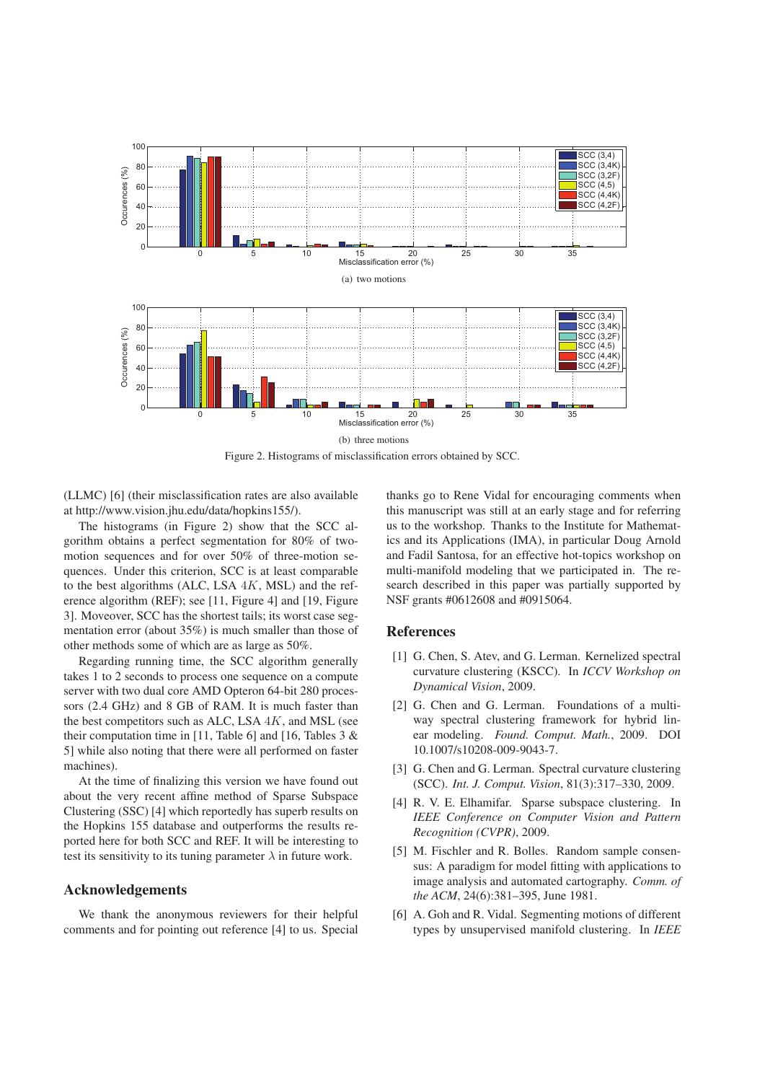

Figure 2. Histograms of misclassification errors obtained by SCC.

(LLMC) [6] (their misclassification rates are also available at http://www.vision.jhu.edu/data/hopkins155/).

The histograms (in Figure 2) show that the SCC algorithm obtains a perfect segmentation for 80% of twomotion sequences and for over 50% of three-motion sequences. Under this criterion, SCC is at least comparable to the best algorithms (ALC, LSA  $4K$ , MSL) and the reference algorithm (REF); see [11, Figure 4] and [19, Figure 3]. Moveover, SCC has the shortest tails; its worst case segmentation error (about 35%) is much smaller than those of other methods some of which are as large as 50%.

Regarding running time, the SCC algorithm generally takes 1 to 2 seconds to process one sequence on a compute server with two dual core AMD Opteron 64-bit 280 processors (2.4 GHz) and 8 GB of RAM. It is much faster than the best competitors such as ALC, LSA  $4K$ , and MSL (see their computation time in [11, Table 6] and [16, Tables  $3 \&$ 5] while also noting that there were all performed on faster machines).

At the time of finalizing this version we have found out about the very recent affine method of Sparse Subspace Clustering (SSC) [4] which reportedly has superb results on the Hopkins 155 database and outperforms the results reported here for both SCC and REF. It will be interesting to test its sensitivity to its tuning parameter  $\lambda$  in future work.

#### Acknowledgements

We thank the anonymous reviewers for their helpful comments and for pointing out reference [4] to us. Special thanks go to Rene Vidal for encouraging comments when this manuscript was still at an early stage and for referring us to the workshop. Thanks to the Institute for Mathematics and its Applications (IMA), in particular Doug Arnold and Fadil Santosa, for an effective hot-topics workshop on multi-manifold modeling that we participated in. The research described in this paper was partially supported by NSF grants #0612608 and #0915064.

# References

- [1] G. Chen, S. Atev, and G. Lerman. Kernelized spectral curvature clustering (KSCC). In *ICCV Workshop on Dynamical Vision*, 2009.
- [2] G. Chen and G. Lerman. Foundations of a multiway spectral clustering framework for hybrid linear modeling. *Found. Comput. Math.*, 2009. DOI 10.1007/s10208-009-9043-7.
- [3] G. Chen and G. Lerman. Spectral curvature clustering (SCC). *Int. J. Comput. Vision*, 81(3):317–330, 2009.
- [4] R. V. E. Elhamifar. Sparse subspace clustering. In *IEEE Conference on Computer Vision and Pattern Recognition (CVPR)*, 2009.
- [5] M. Fischler and R. Bolles. Random sample consensus: A paradigm for model fitting with applications to image analysis and automated cartography. *Comm. of the ACM*, 24(6):381–395, June 1981.
- [6] A. Goh and R. Vidal. Segmenting motions of different types by unsupervised manifold clustering. In *IEEE*